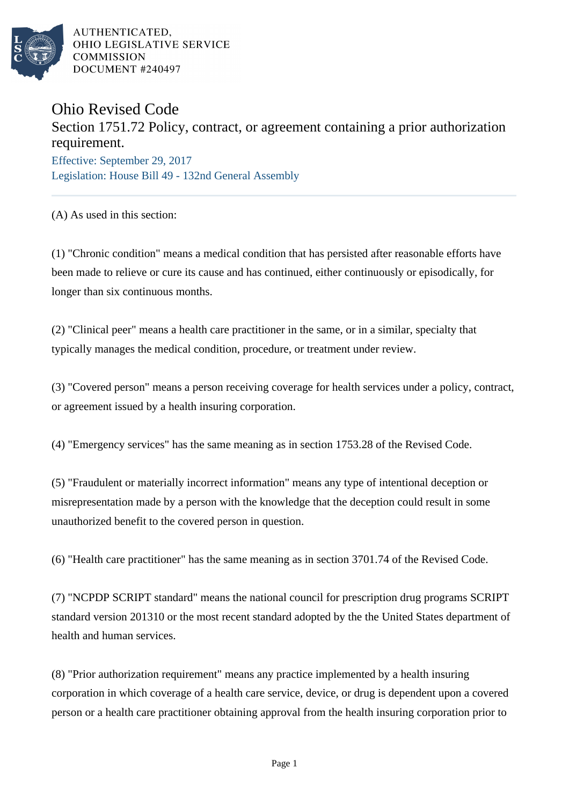

## Ohio Revised Code

## Section 1751.72 Policy, contract, or agreement containing a prior authorization requirement.

Effective: September 29, 2017 Legislation: House Bill 49 - 132nd General Assembly

(A) As used in this section:

(1) "Chronic condition" means a medical condition that has persisted after reasonable efforts have been made to relieve or cure its cause and has continued, either continuously or episodically, for longer than six continuous months.

(2) "Clinical peer" means a health care practitioner in the same, or in a similar, specialty that typically manages the medical condition, procedure, or treatment under review.

(3) "Covered person" means a person receiving coverage for health services under a policy, contract, or agreement issued by a health insuring corporation.

(4) "Emergency services" has the same meaning as in section 1753.28 of the Revised Code.

(5) "Fraudulent or materially incorrect information" means any type of intentional deception or misrepresentation made by a person with the knowledge that the deception could result in some unauthorized benefit to the covered person in question.

(6) "Health care practitioner" has the same meaning as in section 3701.74 of the Revised Code.

(7) "NCPDP SCRIPT standard" means the national council for prescription drug programs SCRIPT standard version 201310 or the most recent standard adopted by the the United States department of health and human services.

(8) "Prior authorization requirement" means any practice implemented by a health insuring corporation in which coverage of a health care service, device, or drug is dependent upon a covered person or a health care practitioner obtaining approval from the health insuring corporation prior to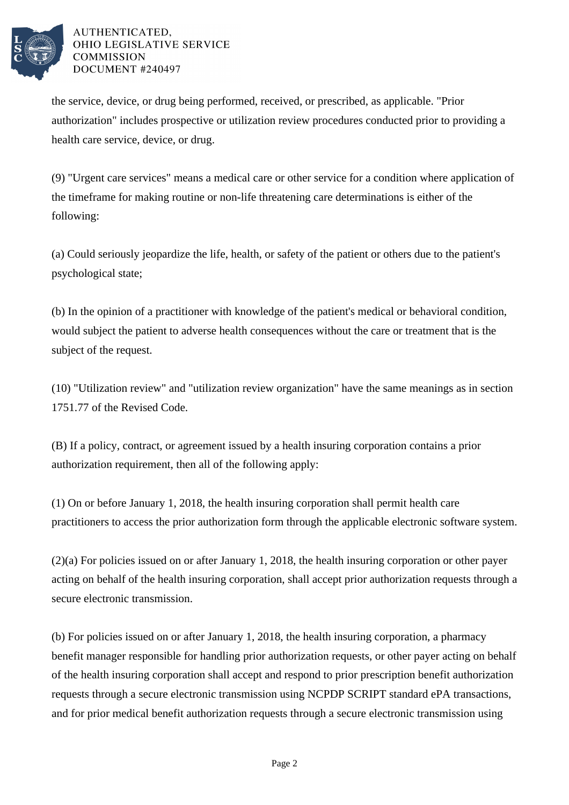

the service, device, or drug being performed, received, or prescribed, as applicable. "Prior authorization" includes prospective or utilization review procedures conducted prior to providing a health care service, device, or drug.

(9) "Urgent care services" means a medical care or other service for a condition where application of the timeframe for making routine or non-life threatening care determinations is either of the following:

(a) Could seriously jeopardize the life, health, or safety of the patient or others due to the patient's psychological state;

(b) In the opinion of a practitioner with knowledge of the patient's medical or behavioral condition, would subject the patient to adverse health consequences without the care or treatment that is the subject of the request.

(10) "Utilization review" and "utilization review organization" have the same meanings as in section 1751.77 of the Revised Code.

(B) If a policy, contract, or agreement issued by a health insuring corporation contains a prior authorization requirement, then all of the following apply:

(1) On or before January 1, 2018, the health insuring corporation shall permit health care practitioners to access the prior authorization form through the applicable electronic software system.

(2)(a) For policies issued on or after January 1, 2018, the health insuring corporation or other payer acting on behalf of the health insuring corporation, shall accept prior authorization requests through a secure electronic transmission.

(b) For policies issued on or after January 1, 2018, the health insuring corporation, a pharmacy benefit manager responsible for handling prior authorization requests, or other payer acting on behalf of the health insuring corporation shall accept and respond to prior prescription benefit authorization requests through a secure electronic transmission using NCPDP SCRIPT standard ePA transactions, and for prior medical benefit authorization requests through a secure electronic transmission using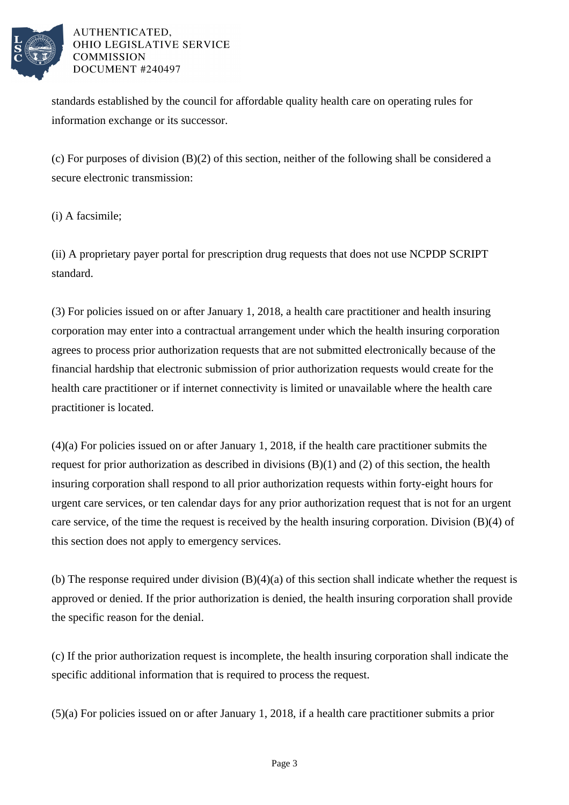

standards established by the council for affordable quality health care on operating rules for information exchange or its successor.

(c) For purposes of division (B)(2) of this section, neither of the following shall be considered a secure electronic transmission:

(i) A facsimile;

(ii) A proprietary payer portal for prescription drug requests that does not use NCPDP SCRIPT standard.

(3) For policies issued on or after January 1, 2018, a health care practitioner and health insuring corporation may enter into a contractual arrangement under which the health insuring corporation agrees to process prior authorization requests that are not submitted electronically because of the financial hardship that electronic submission of prior authorization requests would create for the health care practitioner or if internet connectivity is limited or unavailable where the health care practitioner is located.

(4)(a) For policies issued on or after January 1, 2018, if the health care practitioner submits the request for prior authorization as described in divisions (B)(1) and (2) of this section, the health insuring corporation shall respond to all prior authorization requests within forty-eight hours for urgent care services, or ten calendar days for any prior authorization request that is not for an urgent care service, of the time the request is received by the health insuring corporation. Division  $(B)(4)$  of this section does not apply to emergency services.

(b) The response required under division (B)(4)(a) of this section shall indicate whether the request is approved or denied. If the prior authorization is denied, the health insuring corporation shall provide the specific reason for the denial.

(c) If the prior authorization request is incomplete, the health insuring corporation shall indicate the specific additional information that is required to process the request.

(5)(a) For policies issued on or after January 1, 2018, if a health care practitioner submits a prior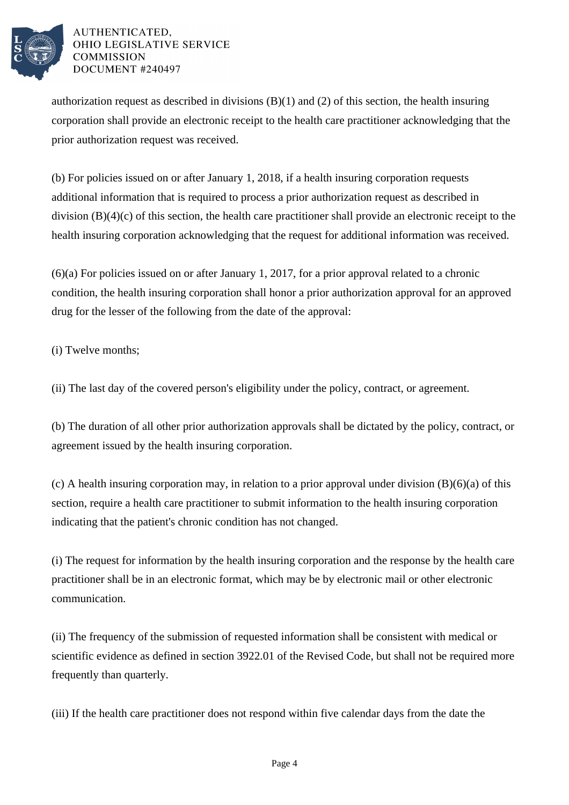

authorization request as described in divisions  $(B)(1)$  and  $(2)$  of this section, the health insuring corporation shall provide an electronic receipt to the health care practitioner acknowledging that the prior authorization request was received.

(b) For policies issued on or after January 1, 2018, if a health insuring corporation requests additional information that is required to process a prior authorization request as described in division (B)(4)(c) of this section, the health care practitioner shall provide an electronic receipt to the health insuring corporation acknowledging that the request for additional information was received.

(6)(a) For policies issued on or after January 1, 2017, for a prior approval related to a chronic condition, the health insuring corporation shall honor a prior authorization approval for an approved drug for the lesser of the following from the date of the approval:

(i) Twelve months;

(ii) The last day of the covered person's eligibility under the policy, contract, or agreement.

(b) The duration of all other prior authorization approvals shall be dictated by the policy, contract, or agreement issued by the health insuring corporation.

(c) A health insuring corporation may, in relation to a prior approval under division (B)(6)(a) of this section, require a health care practitioner to submit information to the health insuring corporation indicating that the patient's chronic condition has not changed.

(i) The request for information by the health insuring corporation and the response by the health care practitioner shall be in an electronic format, which may be by electronic mail or other electronic communication.

(ii) The frequency of the submission of requested information shall be consistent with medical or scientific evidence as defined in section 3922.01 of the Revised Code, but shall not be required more frequently than quarterly.

(iii) If the health care practitioner does not respond within five calendar days from the date the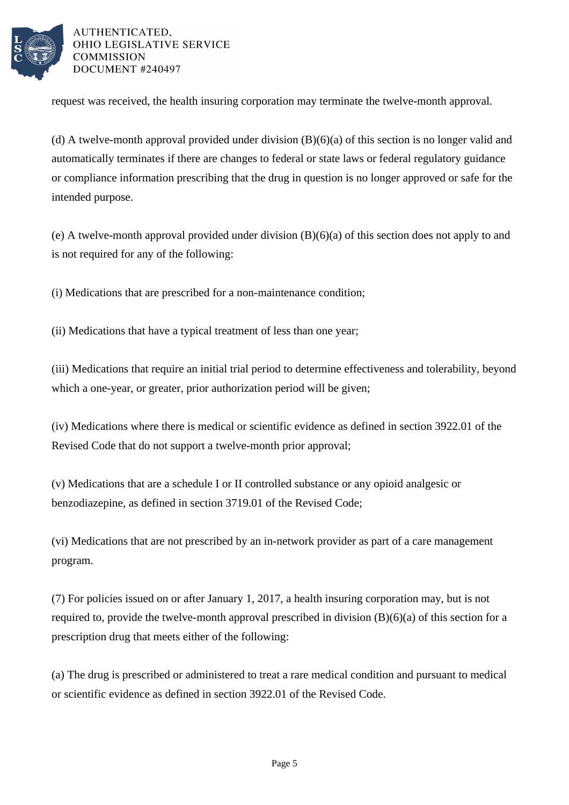

request was received, the health insuring corporation may terminate the twelve-month approval.

(d) A twelve-month approval provided under division  $(B)(6)(a)$  of this section is no longer valid and automatically terminates if there are changes to federal or state laws or federal regulatory guidance or compliance information prescribing that the drug in question is no longer approved or safe for the intended purpose.

(e) A twelve-month approval provided under division (B)(6)(a) of this section does not apply to and is not required for any of the following:

(i) Medications that are prescribed for a non-maintenance condition;

(ii) Medications that have a typical treatment of less than one year;

(iii) Medications that require an initial trial period to determine effectiveness and tolerability, beyond which a one-year, or greater, prior authorization period will be given;

(iv) Medications where there is medical or scientific evidence as defined in section 3922.01 of the Revised Code that do not support a twelve-month prior approval;

(v) Medications that are a schedule I or II controlled substance or any opioid analgesic or benzodiazepine, as defined in section 3719.01 of the Revised Code;

(vi) Medications that are not prescribed by an in-network provider as part of a care management program.

(7) For policies issued on or after January 1, 2017, a health insuring corporation may, but is not required to, provide the twelve-month approval prescribed in division (B)(6)(a) of this section for a prescription drug that meets either of the following:

(a) The drug is prescribed or administered to treat a rare medical condition and pursuant to medical or scientific evidence as defined in section 3922.01 of the Revised Code.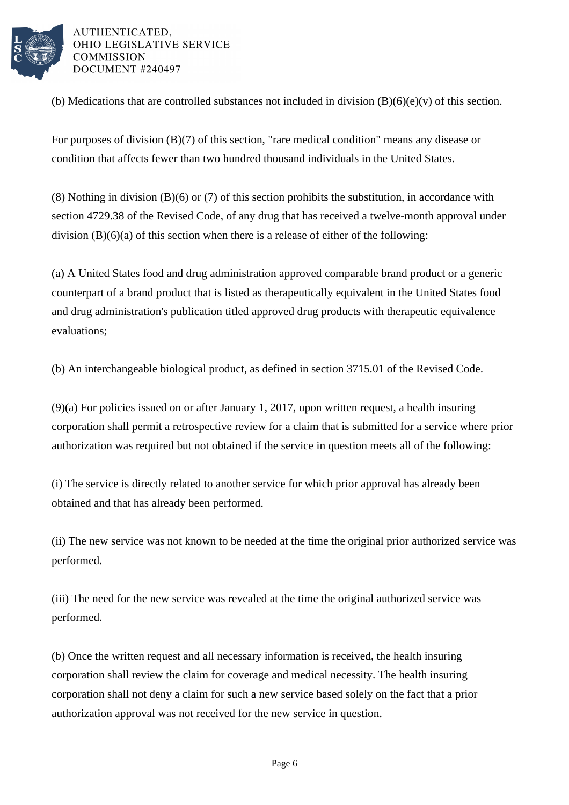

(b) Medications that are controlled substances not included in division  $(B)(6)(e)(v)$  of this section.

For purposes of division (B)(7) of this section, "rare medical condition" means any disease or condition that affects fewer than two hundred thousand individuals in the United States.

(8) Nothing in division (B)(6) or (7) of this section prohibits the substitution, in accordance with section 4729.38 of the Revised Code, of any drug that has received a twelve-month approval under division (B)(6)(a) of this section when there is a release of either of the following:

(a) A United States food and drug administration approved comparable brand product or a generic counterpart of a brand product that is listed as therapeutically equivalent in the United States food and drug administration's publication titled approved drug products with therapeutic equivalence evaluations;

(b) An interchangeable biological product, as defined in section 3715.01 of the Revised Code.

(9)(a) For policies issued on or after January 1, 2017, upon written request, a health insuring corporation shall permit a retrospective review for a claim that is submitted for a service where prior authorization was required but not obtained if the service in question meets all of the following:

(i) The service is directly related to another service for which prior approval has already been obtained and that has already been performed.

(ii) The new service was not known to be needed at the time the original prior authorized service was performed.

(iii) The need for the new service was revealed at the time the original authorized service was performed.

(b) Once the written request and all necessary information is received, the health insuring corporation shall review the claim for coverage and medical necessity. The health insuring corporation shall not deny a claim for such a new service based solely on the fact that a prior authorization approval was not received for the new service in question.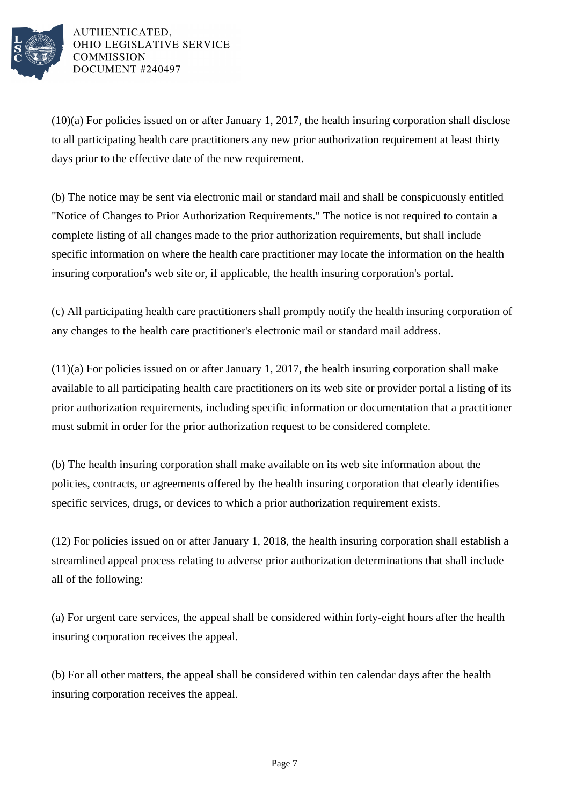

(10)(a) For policies issued on or after January 1, 2017, the health insuring corporation shall disclose to all participating health care practitioners any new prior authorization requirement at least thirty days prior to the effective date of the new requirement.

(b) The notice may be sent via electronic mail or standard mail and shall be conspicuously entitled "Notice of Changes to Prior Authorization Requirements." The notice is not required to contain a complete listing of all changes made to the prior authorization requirements, but shall include specific information on where the health care practitioner may locate the information on the health insuring corporation's web site or, if applicable, the health insuring corporation's portal.

(c) All participating health care practitioners shall promptly notify the health insuring corporation of any changes to the health care practitioner's electronic mail or standard mail address.

(11)(a) For policies issued on or after January 1, 2017, the health insuring corporation shall make available to all participating health care practitioners on its web site or provider portal a listing of its prior authorization requirements, including specific information or documentation that a practitioner must submit in order for the prior authorization request to be considered complete.

(b) The health insuring corporation shall make available on its web site information about the policies, contracts, or agreements offered by the health insuring corporation that clearly identifies specific services, drugs, or devices to which a prior authorization requirement exists.

(12) For policies issued on or after January 1, 2018, the health insuring corporation shall establish a streamlined appeal process relating to adverse prior authorization determinations that shall include all of the following:

(a) For urgent care services, the appeal shall be considered within forty-eight hours after the health insuring corporation receives the appeal.

(b) For all other matters, the appeal shall be considered within ten calendar days after the health insuring corporation receives the appeal.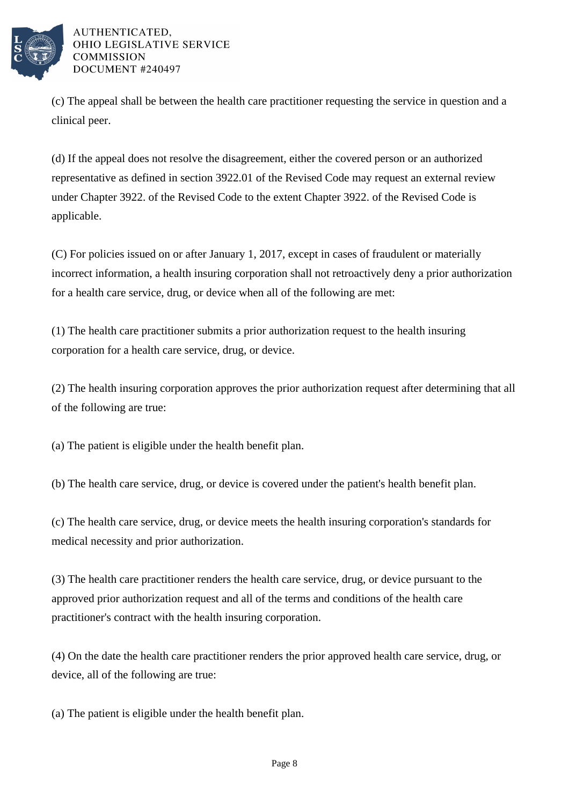

(c) The appeal shall be between the health care practitioner requesting the service in question and a clinical peer.

(d) If the appeal does not resolve the disagreement, either the covered person or an authorized representative as defined in section 3922.01 of the Revised Code may request an external review under Chapter 3922. of the Revised Code to the extent Chapter 3922. of the Revised Code is applicable.

(C) For policies issued on or after January 1, 2017, except in cases of fraudulent or materially incorrect information, a health insuring corporation shall not retroactively deny a prior authorization for a health care service, drug, or device when all of the following are met:

(1) The health care practitioner submits a prior authorization request to the health insuring corporation for a health care service, drug, or device.

(2) The health insuring corporation approves the prior authorization request after determining that all of the following are true:

(a) The patient is eligible under the health benefit plan.

(b) The health care service, drug, or device is covered under the patient's health benefit plan.

(c) The health care service, drug, or device meets the health insuring corporation's standards for medical necessity and prior authorization.

(3) The health care practitioner renders the health care service, drug, or device pursuant to the approved prior authorization request and all of the terms and conditions of the health care practitioner's contract with the health insuring corporation.

(4) On the date the health care practitioner renders the prior approved health care service, drug, or device, all of the following are true:

(a) The patient is eligible under the health benefit plan.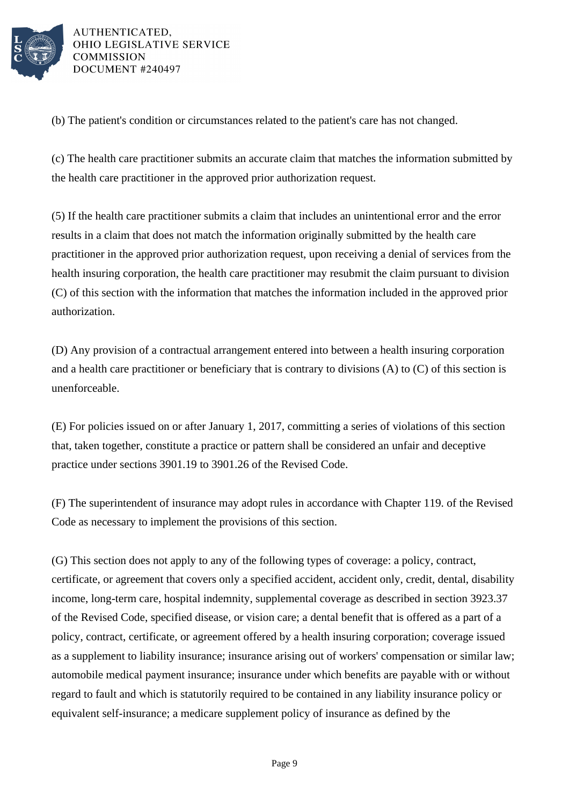

(b) The patient's condition or circumstances related to the patient's care has not changed.

(c) The health care practitioner submits an accurate claim that matches the information submitted by the health care practitioner in the approved prior authorization request.

(5) If the health care practitioner submits a claim that includes an unintentional error and the error results in a claim that does not match the information originally submitted by the health care practitioner in the approved prior authorization request, upon receiving a denial of services from the health insuring corporation, the health care practitioner may resubmit the claim pursuant to division (C) of this section with the information that matches the information included in the approved prior authorization.

(D) Any provision of a contractual arrangement entered into between a health insuring corporation and a health care practitioner or beneficiary that is contrary to divisions (A) to (C) of this section is unenforceable.

(E) For policies issued on or after January 1, 2017, committing a series of violations of this section that, taken together, constitute a practice or pattern shall be considered an unfair and deceptive practice under sections 3901.19 to 3901.26 of the Revised Code.

(F) The superintendent of insurance may adopt rules in accordance with Chapter 119. of the Revised Code as necessary to implement the provisions of this section.

(G) This section does not apply to any of the following types of coverage: a policy, contract, certificate, or agreement that covers only a specified accident, accident only, credit, dental, disability income, long-term care, hospital indemnity, supplemental coverage as described in section 3923.37 of the Revised Code, specified disease, or vision care; a dental benefit that is offered as a part of a policy, contract, certificate, or agreement offered by a health insuring corporation; coverage issued as a supplement to liability insurance; insurance arising out of workers' compensation or similar law; automobile medical payment insurance; insurance under which benefits are payable with or without regard to fault and which is statutorily required to be contained in any liability insurance policy or equivalent self-insurance; a medicare supplement policy of insurance as defined by the